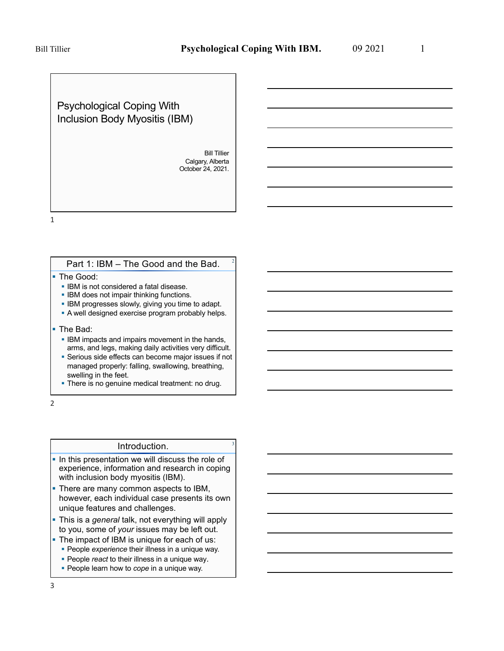Psychological Coping With Inclusion Body Myositis (IBM)

> Bill Tillier Calgary, Alberta October 24, 2021.

1

#### Part 1: IBM – The Good and the Bad.

- The Good:
	- IBM is not considered a fatal disease.
	- **IBM does not impair thinking functions.**
	- **IBM progresses slowly, giving you time to adapt.**
	- § A well designed exercise program probably helps.
- The Bad:
	- **IBM impacts and impairs movement in the hands,** arms, and legs, making daily activities very difficult.
	- Serious side effects can become major issues if not managed properly: falling, swallowing, breathing, swelling in the feet.
	- There is no genuine medical treatment: no drug.

2

#### Introduction.

- In this presentation we will discuss the role of experience, information and research in coping with inclusion body myositis (IBM).
- There are many common aspects to IBM, however, each individual case presents its own unique features and challenges.
- § This is a *general* talk, not everything will apply to you, some of *your* issues may be left out.
- The impact of IBM is unique for each of us:
	- **People** *experience* their illness in a unique way.
	- People *react* to their illness in a unique way.
	- § People learn how to *cope* in a unique way.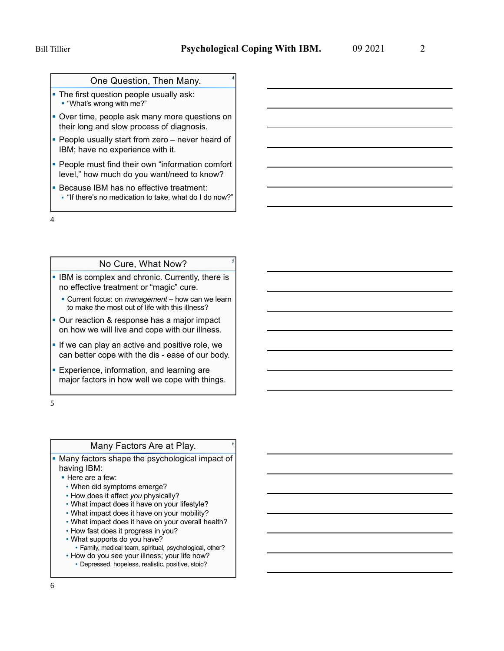### One Question, Then Many.

- The first question people usually ask: § "What's wrong with me?"
- Over time, people ask many more questions on their long and slow process of diagnosis.
- People usually start from zero never heard of IBM; have no experience with it.
- People must find their own "information comfort level," how much do you want/need to know?
- **Because IBM has no effective treatment:** § "If there's no medication to take, what do I do now?"

4

### No Cure, What Now?

- **IBM is complex and chronic. Currently, there is** no effective treatment or "magic" cure.
	- Current focus: on *management* how can we learn to make the most out of life with this illness?
- Our reaction & response has a major impact on how we will live and cope with our illness.
- **If we can play an active and positive role, we** can better cope with the dis - ease of our body.
- **Experience, information, and learning are** major factors in how well we cope with things.

5

#### Many Factors Are at Play. <sup>6</sup>

• Many factors shape the psychological impact of having IBM:

- Here are a few:
- When did symptoms emerge?
- How does it affect *you* physically?
- What impact does it have on your lifestyle?
- What impact does it have on your mobility?
- What impact does it have on your overall health?
- How fast does it progress in you?
- What supports do you have?
- Family, medical team, spiritual, psychological, other?
- How do you see your illness; your life now?
	- Depressed, hopeless, realistic, positive, stoic?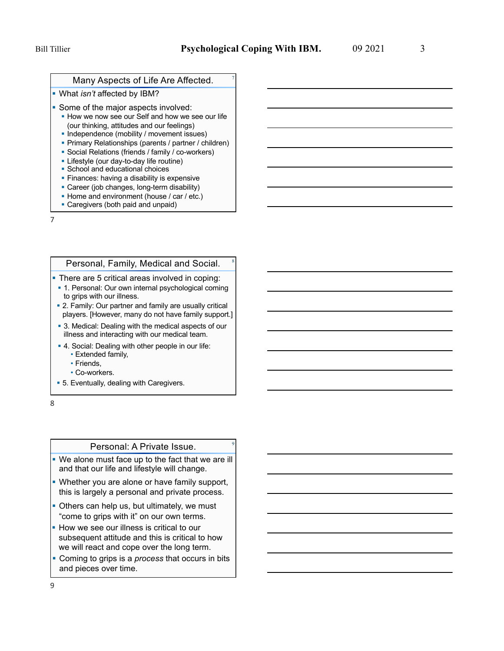#### Many Aspects of Life Are Affected.

- § What *isn't* affected by IBM?
- **Some of the major aspects involved:** 
	- How we now see our Self and how we see our life (our thinking, attitudes and our feelings)
	- Independence (mobility / movement issues)
	- § Primary Relationships (parents / partner / children)
	- Social Relations (friends / family / co-workers)
	- § Lifestyle (our day-to-day life routine)
	- § School and educational choices
	- **Finances: having a disability is expensive**
	- Career (job changes, long-term disability)
	- Home and environment (house / car / etc.)
	- Caregivers (both paid and unpaid)

7

#### Personal, Family, Medical and Social.

- **There are 5 critical areas involved in coping:**
- 1. Personal: Our own internal psychological coming to grips with our illness.
- 2. Family: Our partner and family are usually critical players. [However, many do not have family support.]
- 3. Medical: Dealing with the medical aspects of our illness and interacting with our medical team.
- 4. Social: Dealing with other people in our life:
	- Extended family,
	- Friends,
	- Co-workers.
- 5. Eventually, dealing with Caregivers.

8

#### Personal: A Private Issue.

- We alone must face up to the fact that we are ill and that our life and lifestyle will change.
- Whether you are alone or have family support, this is largely a personal and private process.
- Others can help us, but ultimately, we must "come to grips with it" on our own terms.
- **How we see our illness is critical to our** subsequent attitude and this is critical to how we will react and cope over the long term.
- § Coming to grips is a *process* that occurs in bits and pieces over time.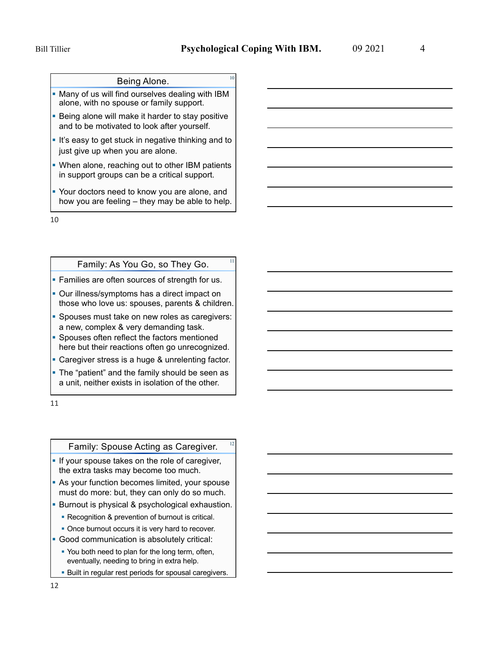# Being Alone.

- Many of us will find ourselves dealing with IBM alone, with no spouse or family support.
- **Being alone will make it harder to stay positive** and to be motivated to look after yourself.
- **If** It's easy to get stuck in negative thinking and to just give up when you are alone.
- **When alone, reaching out to other IBM patients** in support groups can be a critical support.
- § Your doctors need to know you are alone, and how you are feeling – they may be able to help.

10

#### Family: As You Go, so They Go.

- **Families are often sources of strength for us.**
- Our illness/symptoms has a direct impact on those who love us: spouses, parents & children.
- Spouses must take on new roles as caregivers: a new, complex & very demanding task.
- § Spouses often reflect the factors mentioned here but their reactions often go unrecognized.
- Caregiver stress is a huge & unrelenting factor.
- The "patient" and the family should be seen as a unit, neither exists in isolation of the other.

11

### Family: Spouse Acting as Caregiver.

- **If your spouse takes on the role of caregiver,** the extra tasks may become too much.
- **As your function becomes limited, your spouse** must do more: but, they can only do so much.
- **Burnout is physical & psychological exhaustion.** 
	- Recognition & prevention of burnout is critical.
- Once burnout occurs it is very hard to recover.
- § Good communication is absolutely critical:
- You both need to plan for the long term, often, eventually, needing to bring in extra help.
- Built in regular rest periods for spousal caregivers.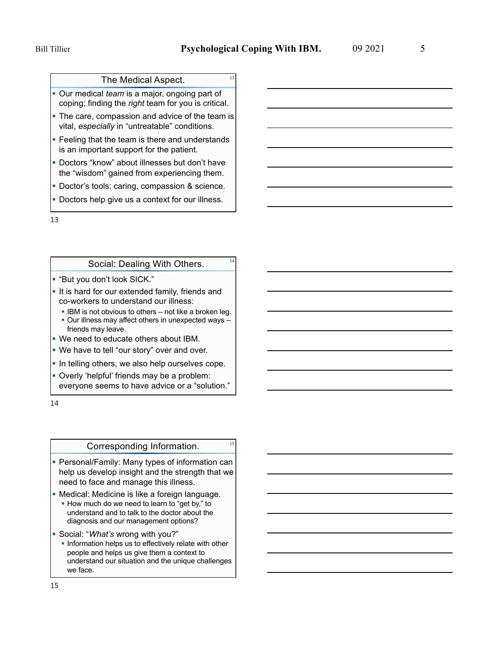### The Medical Aspect.

§ Our medical *team* is a major, ongoing part of coping; finding the *right* team for you is critical.

- The care, compassion and advice of the team is vital, *especially* in "untreatable" conditions.
- Feeling that the team is there and understands is an important support for the patient.
- Doctors "know" about illnesses but don't have the "wisdom" gained from experiencing them.
- Doctor's tools: caring, compassion & science.
- **Doctors help give us a context for our illness.**

13

## Social: Dealing With Others. **14**

- § "But you don't look SICK."
- **If is hard for our extended family, friends and** co-workers to understand our illness:
	- **IBM is not obvious to others not like a broken leg.** • Our illness may affect others in unexpected ways friends may leave.
- § We need to educate others about IBM.
- We have to tell "our story" over and over.
- **In telling others, we also help ourselves cope.**
- § Overly 'helpful' friends may be a problem: everyone seems to have advice or a "solution."

14

### Corresponding Information. 15

- Personal/Family: Many types of information can help us develop insight and the strength that we need to face and manage this illness.
- **Medical: Medicine is like a foreign language.** ■ How much do we need to learn to "get by," to
	- understand and to talk to the doctor about the diagnosis and our management options?
- § Social: "*What's* wrong with you?"
	- **Information helps us to effectively relate with other** people and helps us give them a context to understand our situation and the unique challenges we face.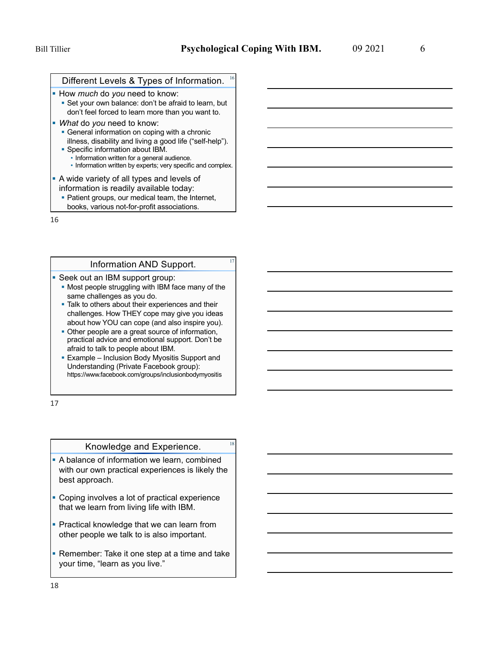#### Different Levels & Types of Information.

- § How *much* do *you* need to know: ■ Set your own balance: don't be afraid to learn, but
	- don't feel forced to learn more than you want to.
- § *What* do *you* need to know:
	- General information on coping with a chronic illness, disability and living a good life ("self-help"). § Specific information about IBM.
	- Information written for a general audience. • Information written by experts; very specific and complex.
- § A wide variety of all types and levels of information is readily available today:
	- Patient groups, our medical team, the Internet, books, various not-for-profit associations.

16

### Information AND Support.

- Seek out an IBM support group:
	- Most people struggling with IBM face many of the same challenges as you do.
	- **Talk to others about their experiences and their** challenges. How THEY cope may give you ideas about how YOU can cope (and also inspire you).
	- Other people are a great source of information, practical advice and emotional support. Don't be afraid to talk to people about IBM.
	- Example Inclusion Body Myositis Support and Understanding (Private Facebook group): https://www.facebook.com/groups/inclusionbodymyositis

17

## Knowledge and Experience. **18**

- § A balance of information we learn, combined with our own practical experiences is likely the best approach.
- Coping involves a lot of practical experience that we learn from living life with IBM.
- **Practical knowledge that we can learn from** other people we talk to is also important.
- **Remember: Take it one step at a time and take** your time, "learn as you live."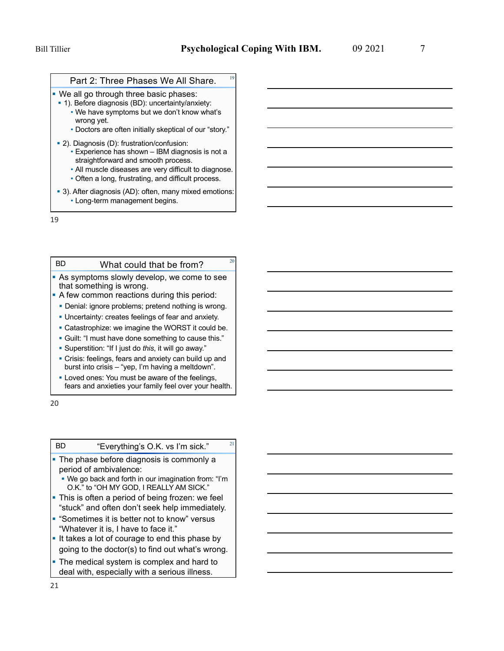#### Part 2: Three Phases We All Share.

- **We all go through three basic phases:**
- 1). Before diagnosis (BD): uncertainty/anxiety:
	- We have symptoms but we don't know what's wrong yet.
	- Doctors are often initially skeptical of our "story."
- 2). Diagnosis (D): frustration/confusion:
	- Experience has shown IBM diagnosis is not a straightforward and smooth process.
	- All muscle diseases are very difficult to diagnose.
	- Often a long, frustrating, and difficult process.
- 3). After diagnosis (AD): often, many mixed emotions: • Long-term management begins.

19

BD

#### What could that be from?

- **As symptoms slowly develop, we come to see** that something is wrong.
- A few common reactions during this period:
- § Denial: ignore problems; pretend nothing is wrong.
- § Uncertainty: creates feelings of fear and anxiety.
- Catastrophize: we imagine the WORST it could be.
- § Guilt: "I must have done something to cause this."
- § Superstition: "If I just do *this*, it will go away."
- Crisis: feelings, fears and anxiety can build up and burst into crisis – "yep, I'm having a meltdown".
- **Loved ones: You must be aware of the feelings,** fears and anxieties your family feel over your health.

20

BD

### "Everything's O.K. vs I'm sick." $21$

- The phase before diagnosis is commonly a period of ambivalence:
	- § We go back and forth in our imagination from: "I'm O.K." to "OH MY GOD, I REALLY AM SICK."
- This is often a period of being frozen: we feel "stuck" and often don't seek help immediately.
- § "Sometimes it is better not to know" versus "Whatever it is, I have to face it."
- It takes a lot of courage to end this phase by going to the doctor(s) to find out what's wrong.
- The medical system is complex and hard to deal with, especially with a serious illness.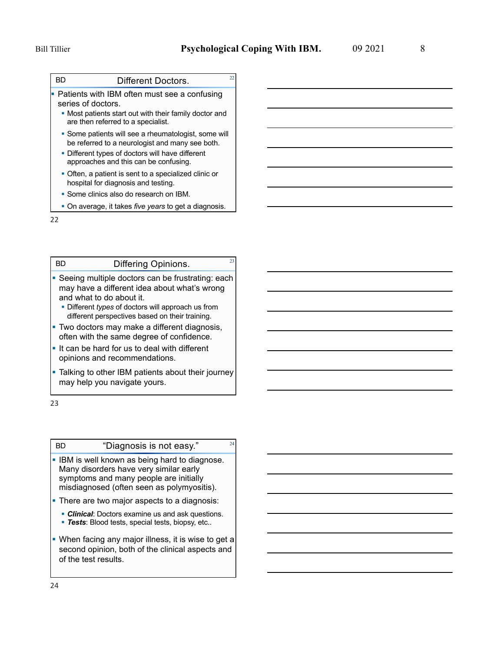BD

# Different Doctors. 22

§ Patients with IBM often must see a confusing series of doctors.

- § Most patients start out with their family doctor and are then referred to a specialist.
- Some patients will see a rheumatologist, some will be referred to a neurologist and many see both.
- **Different types of doctors will have different** approaches and this can be confusing.
- Often, a patient is sent to a specialized clinic or hospital for diagnosis and testing.
- § Some clinics also do research on IBM.
- § On average, it takes *five years* to get a diagnosis.

22

BD

# Differing Opinions. 23

- **Seeing multiple doctors can be frustrating: each** may have a different idea about what's wrong and what to do about it.
	- § Different *types* of doctors will approach us from different perspectives based on their training.
- Two doctors may make a different diagnosis, often with the same degree of confidence.
- § It can be hard for us to deal with different opinions and recommendations.
- Talking to other IBM patients about their journey may help you navigate yours.

23

BD

### "Diagnosis is not easy." $24$

- IBM is well known as being hard to diagnose. Many disorders have very similar early symptoms and many people are initially misdiagnosed (often seen as polymyositis).
- **There are two major aspects to a diagnosis:** 
	- **Clinical:** Doctors examine us and ask questions.
	- § *Tests*: Blood tests, special tests, biopsy, etc..
- When facing any major illness, it is wise to get a second opinion, both of the clinical aspects and of the test results.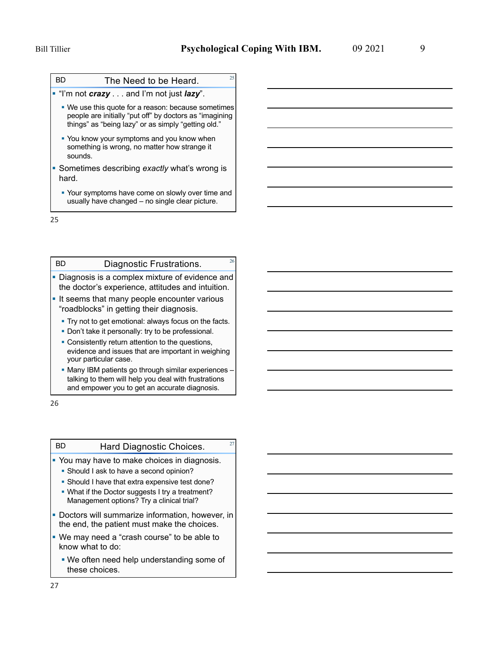BD

# The Need to be Heard.  $25$

§ "I'm not *crazy* . . . and I'm not just *lazy*".

- § We use this quote for a reason: because sometimes people are initially "put off" by doctors as "imagining things" as "being lazy" or as simply "getting old."
- You know your symptoms and you know when something is wrong, no matter how strange it sounds.
- § Sometimes describing *exactly* what's wrong is hard.
	- Your symptoms have come on slowly over time and usually have changed – no single clear picture.

25

#### Diagnostic Frustrations. 26 BD

- Diagnosis is a complex mixture of evidence and the doctor's experience, attitudes and intuition.
- **It seems that many people encounter various** "roadblocks" in getting their diagnosis.
	- Try not to get emotional: always focus on the facts.
	- Don't take it personally: try to be professional.
	- Consistently return attention to the questions, evidence and issues that are important in weighing your particular case.
	- § Many IBM patients go through similar experiences talking to them will help you deal with frustrations and empower you to get an accurate diagnosis.

26

BD

## Hard Diagnostic Choices. 27

• You may have to make choices in diagnosis.

- § Should I ask to have a second opinion?
- § Should I have that extra expensive test done?
- What if the Doctor suggests I try a treatment? Management options? Try a clinical trial?
- **Doctors will summarize information, however, in** the end, the patient must make the choices.
- § We may need a "crash course" to be able to know what to do:
	- We often need help understanding some of these choices.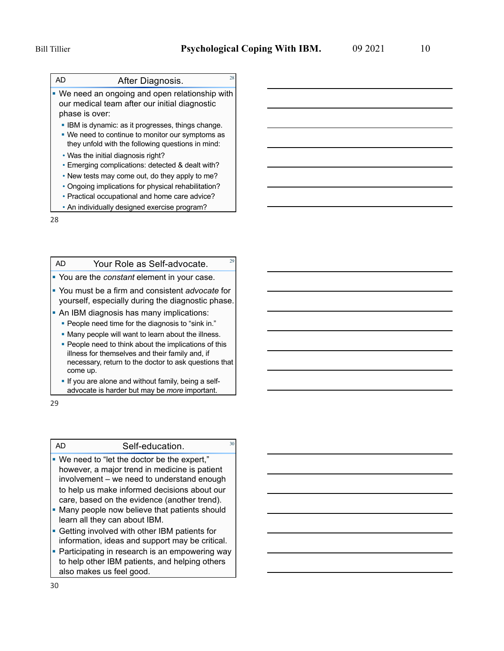AD

# After Diagnosis. 28

- We need an ongoing and open relationship with our medical team after our initial diagnostic phase is over:
- IBM is dynamic: as it progresses, things change.
- We need to continue to monitor our symptoms as they unfold with the following questions in mind:
- Was the initial diagnosis right?
- Emerging complications: detected & dealt with?
- New tests may come out, do they apply to me?
- Ongoing implications for physical rehabilitation?
- Practical occupational and home care advice?
- An individually designed exercise program?

28

#### Your Role as Self-advocate.  $22$ AD

- § You are the *constant* element in your case.
- § You must be a firm and consistent *advocate* for yourself, especially during the diagnostic phase.
- An IBM diagnosis has many implications:
	- People need time for the diagnosis to "sink in."
	- § Many people will want to learn about the illness.
	- People need to think about the implications of this illness for themselves and their family and, if necessary, return to the doctor to ask questions that come up.
	- If you are alone and without family, being a selfadvocate is harder but may be *more* important.

29

AD

#### Self-education. 30

- § We need to "let the doctor be the expert," however, a major trend in medicine is patient involvement – we need to understand enough to help us make informed decisions about our care, based on the evidence (another trend).
- Many people now believe that patients should learn all they can about IBM.
- **Getting involved with other IBM patients for** information, ideas and support may be critical.
- **Participating in research is an empowering way** to help other IBM patients, and helping others also makes us feel good.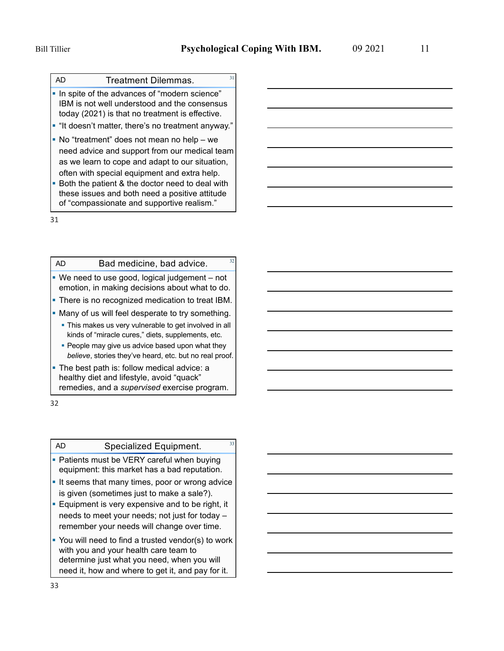AD

## **Treatment Dilemmas.**

- § In spite of the advances of "modern science" IBM is not well understood and the consensus today (2021) is that no treatment is effective.
- "It doesn't matter, there's no treatment anyway."
- No "treatment" does not mean no help we need advice and support from our medical team as we learn to cope and adapt to our situation, often with special equipment and extra help.
- Both the patient & the doctor need to deal with these issues and both need a positive attitude of "compassionate and supportive realism."

31

#### Bad medicine, bad advice.  $32$ AD

- We need to use good, logical judgement not emotion, in making decisions about what to do.
- There is no recognized medication to treat IBM.
- Many of us will feel desperate to try something.
	- **This makes us very vulnerable to get involved in all** kinds of "miracle cures," diets, supplements, etc.
	- People may give us advice based upon what they *believe*, stories they've heard, etc. but no real proof.
- The best path is: follow medical advice: a healthy diet and lifestyle, avoid "quack" remedies, and a *supervised* exercise program.

32

AD

# Specialized Equipment. 33

- Patients must be VERY careful when buying equipment: this market has a bad reputation.
- **If seems that many times, poor or wrong advice** is given (sometimes just to make a sale?).
- **Equipment is very expensive and to be right, it** needs to meet your needs; not just for today – remember your needs will change over time.
- You will need to find a trusted vendor(s) to work with you and your health care team to determine just what you need, when you will need it, how and where to get it, and pay for it.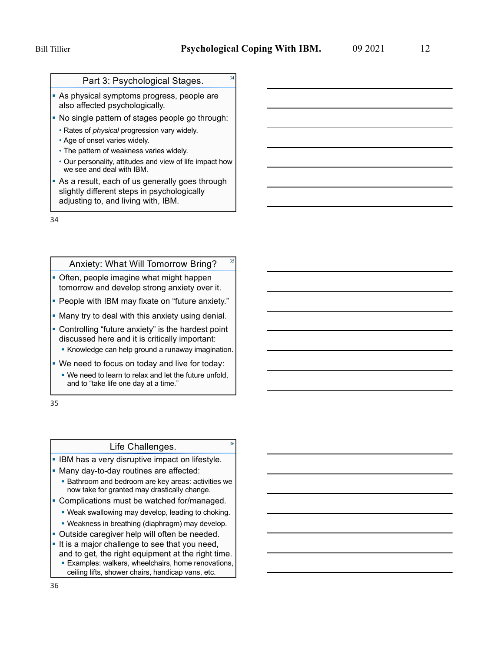### Part 3: Psychological Stages.

- As physical symptoms progress, people are also affected psychologically.
- No single pattern of stages people go through:
	- Rates of *physical* progression vary widely.
	- Age of onset varies widely.
	- The pattern of weakness varies widely.
- Our personality, attitudes and view of life impact how we see and deal with IBM.
- As a result, each of us generally goes through slightly different steps in psychologically adjusting to, and living with, IBM.

34

#### Anxiety: What Will Tomorrow Bring?

- Often, people imagine what might happen tomorrow and develop strong anxiety over it.
- People with IBM may fixate on "future anxiety."
- **Many try to deal with this anxiety using denial.**
- § Controlling "future anxiety" is the hardest point discussed here and it is critically important:
	- **Knowledge can help ground a runaway imagination.**
- § We need to focus on today and live for today:
	- We need to learn to relax and let the future unfold, and to "take life one day at a time."

35

# Life Challenges. 36

- **IBM has a very disruptive impact on lifestyle.**
- § Many day-to-day routines are affected:
	- Bathroom and bedroom are key areas: activities we now take for granted may drastically change.
- Complications must be watched for/managed.
	- Weak swallowing may develop, leading to choking.
	- Weakness in breathing (diaphragm) may develop.
- Outside caregiver help will often be needed.
- It is a major challenge to see that you need, and to get, the right equipment at the right time. **Examples: walkers, wheelchairs, home renovations,** 
	- ceiling lifts, shower chairs, handicap vans, etc.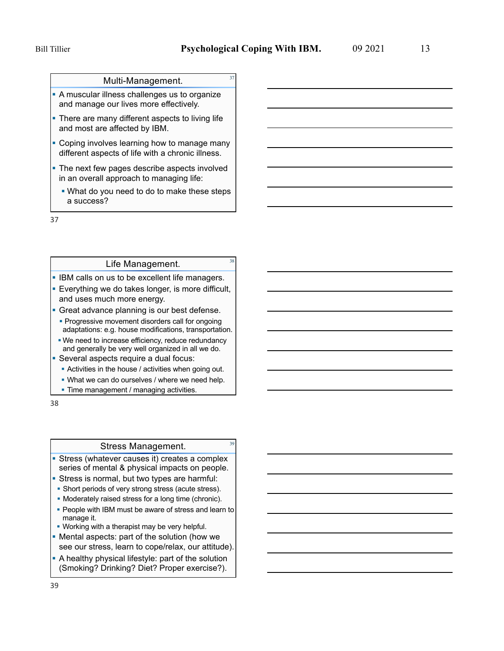### Multi-Management.

- **A muscular illness challenges us to organize** and manage our lives more effectively.
- There are many different aspects to living life and most are affected by IBM.
- Coping involves learning how to manage many different aspects of life with a chronic illness.
- The next few pages describe aspects involved in an overall approach to managing life:
	- What do you need to do to make these steps a success?

37

# Life Management. 38

- **IBM calls on us to be excellent life managers.**
- **Everything we do takes longer, is more difficult,** and uses much more energy.
- **Great advance planning is our best defense. • Progressive movement disorders call for ongoing**
- We need to increase efficiency, reduce redundancy and generally be very well organized in all we do. adaptations: e.g. house modifications, transportation.
- **Several aspects require a dual focus:** 
	- Activities in the house / activities when going out.
	- What we can do ourselves / where we need help.
	- Time management / managing activities.

38

### Stress Management. 39

- Stress (whatever causes it) creates a complex series of mental & physical impacts on people.
- **Stress is normal, but two types are harmful:**
- § Short periods of very strong stress (acute stress).
- § Moderately raised stress for a long time (chronic).
- People with IBM must be aware of stress and learn to manage it.
- Working with a therapist may be very helpful.
- § Mental aspects: part of the solution (how we see our stress, learn to cope/relax, our attitude).
- A healthy physical lifestyle: part of the solution (Smoking? Drinking? Diet? Proper exercise?).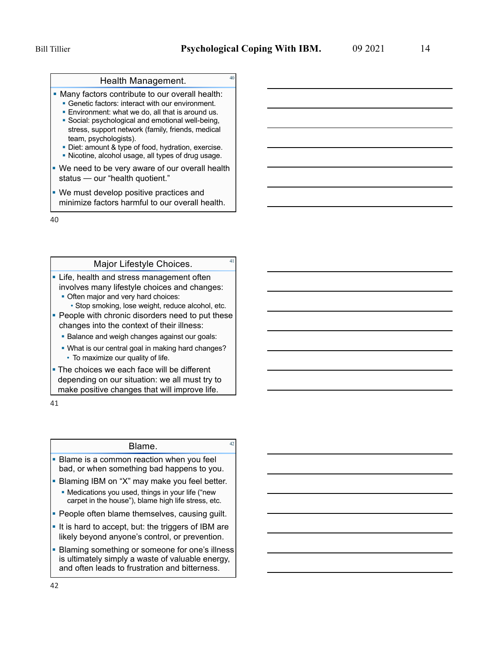# Health Management. 40

• Many factors contribute to our overall health:

- Genetic factors: interact with our environment.
- **Environment: what we do, all that is around us.**
- § Social: psychological and emotional well-being, stress, support network (family, friends, medical team, psychologists).
- Diet: amount & type of food, hydration, exercise.
- § Nicotine, alcohol usage, all types of drug usage.
- We need to be very aware of our overall health status — our "health quotient."
- We must develop positive practices and minimize factors harmful to our overall health.

40

# Major Lifestyle Choices. 41

- Life, health and stress management often involves many lifestyle choices and changes:
	- Often major and very hard choices:
		- Stop smoking, lose weight, reduce alcohol, etc.
- People with chronic disorders need to put these changes into the context of their illness:
	- Balance and weigh changes against our goals:
	- To maximize our quality of life. • What is our central goal in making hard changes?
- The choices we each face will be different depending on our situation: we all must try to make positive changes that will improve life.

41

# Blame.

- Blame is a common reaction when you feel bad, or when something bad happens to you.
- **Blaming IBM on "X" may make you feel better.** 
	- Medications you used, things in your life ("new carpet in the house"), blame high life stress, etc.
- People often blame themselves, causing guilt.
- It is hard to accept, but: the triggers of IBM are likely beyond anyone's control, or prevention.
- Blaming something or someone for one's illness is ultimately simply a waste of valuable energy, and often leads to frustration and bitterness.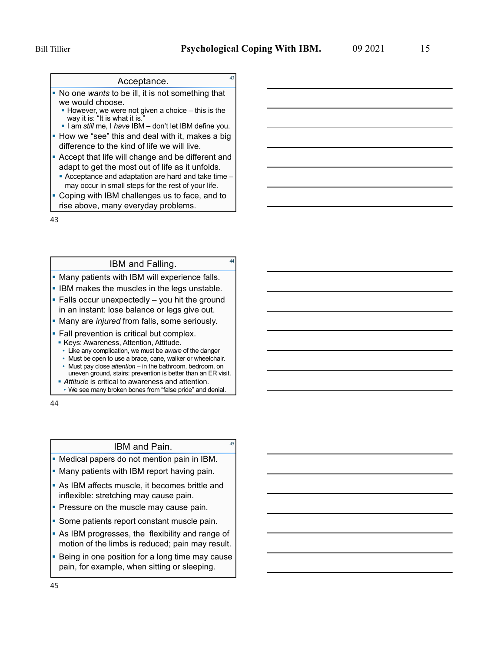# Acceptance. 43

- § No one *wants* to be ill, it is not something that we would choose.
	- $\blacksquare$  However, we were not given a choice this is the way it is: "It is what it is."
	- § I am *still* me, I *have* IBM don't let IBM define you.
- How we "see" this and deal with it, makes a big difference to the kind of life we will live.
- **Accept that life will change and be different and** adapt to get the most out of life as it unfolds.
- § Acceptance and adaptation are hard and take time may occur in small steps for the rest of your life.
- Coping with IBM challenges us to face, and to rise above, many everyday problems.

43

# <sup>44</sup> IBM and Falling.

- Many patients with IBM will experience falls.
- **IBM makes the muscles in the legs unstable.**
- $\blacksquare$  Falls occur unexpectedly  $-$  you hit the ground in an instant: lose balance or legs give out.
- **Many are** *injured* **from falls, some seriously.**
- Fall prevention is critical but complex.
- § Keys: Awareness, Attention, Attitude.
- Like any complication, we must be *aware* of the danger
- Must be open to use a brace, cane, walker or wheelchair.
- Must pay close *attention* in the bathroom, bedroom, on uneven ground, stairs: prevention is better than an ER visit.
- **Attitude** is critical to awareness and attention. • We see many broken bones from "false pride" and denial.

44

# <sup>45</sup> IBM and Pain.

- Medical papers do not mention pain in IBM.
- Many patients with IBM report having pain.
- As IBM affects muscle, it becomes brittle and inflexible: stretching may cause pain.
- Pressure on the muscle may cause pain.
- Some patients report constant muscle pain.
- As IBM progresses, the flexibility and range of motion of the limbs is reduced; pain may result.
- Being in one position for a long time may cause pain, for example, when sitting or sleeping.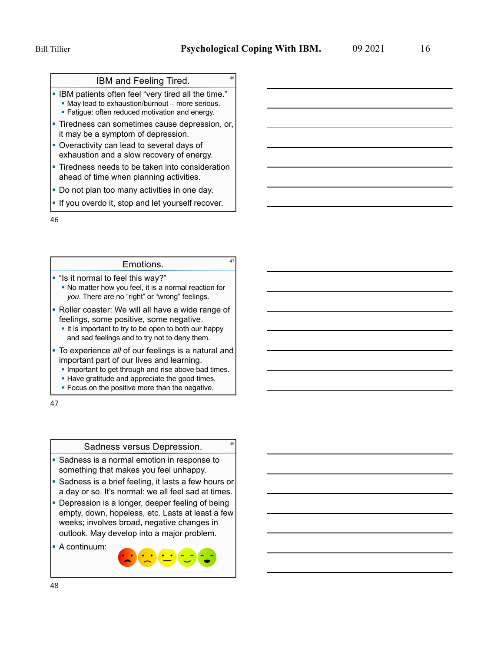# IBM and Feeling Tired.

§ IBM patients often feel "very tired all the time." ■ May lead to exhaustion/burnout – more serious.

- **Fatigue: often reduced motivation and energy.**
- **Tiredness can sometimes cause depression, or,** it may be a symptom of depression.
- **Overactivity can lead to several days of** exhaustion and a slow recovery of energy.
- Tiredness needs to be taken into consideration ahead of time when planning activities.
- Do not plan too many activities in one day.
- **If you overdo it, stop and let yourself recover.**

46

# Emotions. 47

- § "Is it normal to feel this way?"
	- § No matter how you feel, it is a normal reaction for *you*. There are no "right" or "wrong" feelings.
- Roller coaster: We will all have a wide range of feelings, some positive, some negative.
	- It is important to try to be open to both our happy and sad feelings and to try not to deny them.
- § To experience *all* of our feelings is a natural and important part of our lives and learning.
	- **Important to get through and rise above bad times.**
	- Have gratitude and appreciate the good times.
	- **Focus on the positive more than the negative.**

47

## Sadness versus Depression. 48

- § Sadness is a normal emotion in response to something that makes you feel unhappy.
- Sadness is a brief feeling, it lasts a few hours or a day or so. It's normal: we all feel sad at times.
- Depression is a longer, deeper feeling of being empty, down, hopeless, etc. Lasts at least a few weeks; involves broad, negative changes in outlook. May develop into a major problem.
- § A continuum: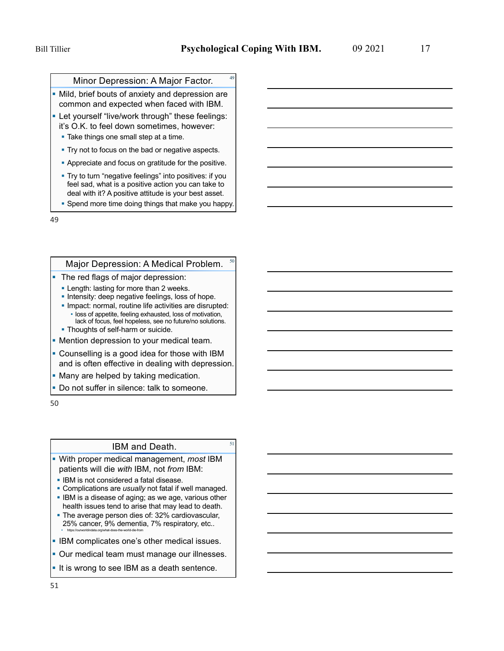## Minor Depression: A Major Factor.

- Mild, brief bouts of anxiety and depression are common and expected when faced with IBM.
- **Let yourself "live/work through" these feelings:** it's O.K. to feel down sometimes, however:
	- Take things one small step at a time.
	- Try not to focus on the bad or negative aspects.
	- § Appreciate and focus on gratitude for the positive.
	- § Try to turn "negative feelings" into positives: if you feel sad, what is a positive action you can take to deal with it? A positive attitude is your best asset.
	- § Spend more time doing things that make you happy.

49

#### Major Depression: A Medical Problem.

- The red flags of major depression:
	- **Length: lasting for more than 2 weeks.**
	- **Intensity: deep negative feelings, loss of hope.**
	- § Impact: normal, routine life activities are disrupted: • loss of appetite, feeling exhausted, loss of motivation,
	- lack of focus, feel hopeless, see no future/no solutions. • Thoughts of self-harm or suicide.
- Mention depression to your medical team.
- Counselling is a good idea for those with IBM and is often effective in dealing with depression.
- Many are helped by taking medication.
- **Do not suffer in silence: talk to someone.**

50

# IBM and Death. **51**

- § With proper medical management, *most* IBM patients will die *with* IBM, not *from* IBM:
- **IBM is not considered a fatal disease.**
- § Complications are *usually* not fatal if well managed.
- § IBM is a disease of aging; as we age, various other health issues tend to arise that may lead to death.
- The average person dies of: 32% cardiovascular, 25% cancer, 9% dementia, 7% respiratory, etc.. § https://ourworldindata.org/what-does-the-world-die-from
- § IBM complicates one's other medical issues.
- Our medical team must manage our illnesses.
- It is wrong to see IBM as a death sentence.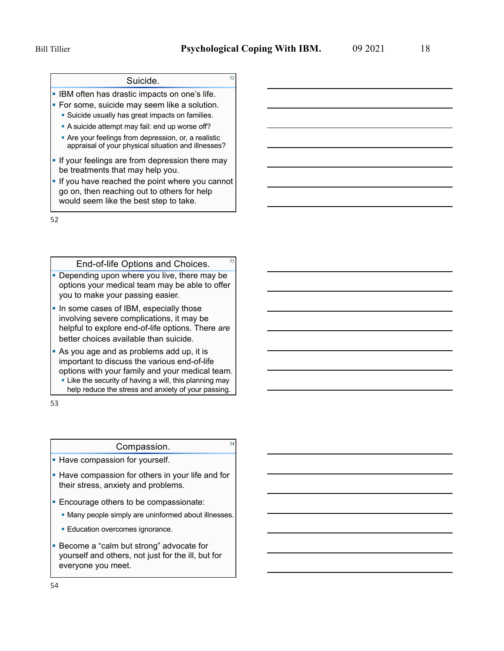# <sup>52</sup> Suicide.

**• IBM often has drastic impacts on one's life.** 

- **For some, suicide may seem like a solution.** 
	- Suicide usually has great impacts on families.
	- A suicide attempt may fail: end up worse off?
	- Are your feelings from depression, or, a realistic appraisal of your physical situation and illnesses?
- If your feelings are from depression there may be treatments that may help you.
- **If you have reached the point where you cannot** go on, then reaching out to others for help would seem like the best step to take.

52

#### End-of-life Options and Choices.

- § Depending upon where you live, there may be options your medical team may be able to offer you to make your passing easier.
- In some cases of IBM, especially those involving severe complications, it may be helpful to explore end-of-life options. There *are* better choices available than suicide.

§ As you age and as problems add up, it is important to discuss the various end-of-life options with your family and your medical team. • Like the security of having a will, this planning may help reduce the stress and anxiety of your passing.

53

### Compassion. 54

- **Have compassion for yourself.**
- Have compassion for others in your life and for their stress, anxiety and problems.
- **Encourage others to be compassionate:** 
	- § Many people simply are uninformed about illnesses.
	- **Education overcomes ignorance.**
- **Become a "calm but strong" advocate for** yourself and others, not just for the ill, but for everyone you meet.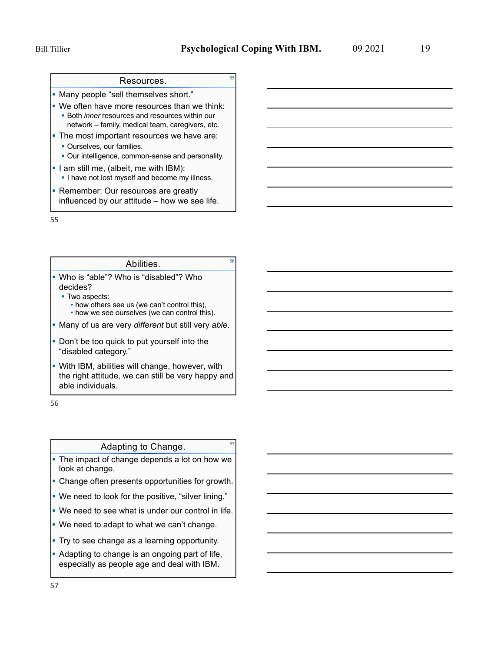# Resources. **Example 35**

§ Many people "sell themselves short."

- We often have more resources than we think: ■ Both *inner* resources and resources within our network – family, medical team, caregivers, etc.
- The most important resources we have are: **• Ourselves, our families.** 
	-
	- Our intelligence, common-sense and personality.
- § I am still me, (albeit, me with IBM): **I** have not lost myself and become my illness.
- Remember: Our resources are greatly influenced by our attitude – how we see life.

55

# <sup>56</sup> Abilities.

- § Who is "able"? Who is "disabled"? Who decides?
	- Two aspects:
		- how others see us (we can't control this), • how we see ourselves (we can control this).
- § Many of us are very *different* but still very *able*.
- Don't be too quick to put yourself into the "disabled category."
- With IBM, abilities will change, however, with the right attitude, we can still be very happy and able individuals.

56

# Adapting to Change.

- The impact of change depends a lot on how we look at change.
- Change often presents opportunities for growth.
- § We need to look for the positive, "silver lining."
- We need to see what is under our control in life.
- We need to adapt to what we can't change.
- **Try to see change as a learning opportunity.**
- Adapting to change is an ongoing part of life, especially as people age and deal with IBM.